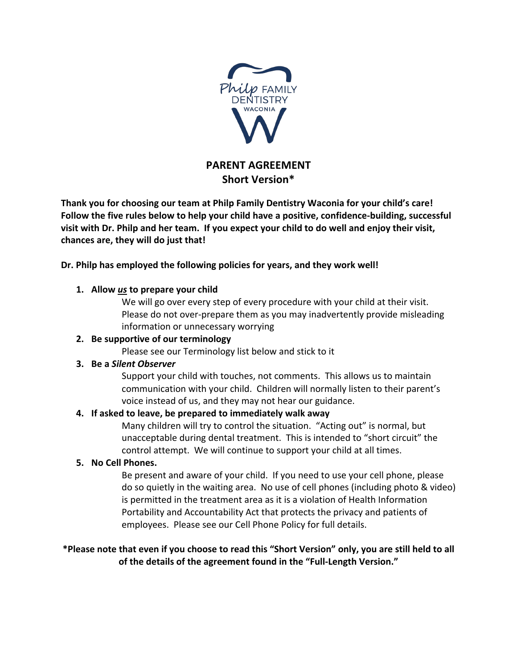

# **PARENT AGREEMENT Short Version\***

**Thank you for choosing our team at Philp Family Dentistry Waconia for your child's care! Follow the five rules below to help your child have a positive, confidence-building, successful visit with Dr. Philp and her team. If you expect your child to do well and enjoy their visit, chances are, they will do just that!**

**Dr. Philp has employed the following policies for years, and they work well!**

#### **1. Allow** *us* **to prepare your child**

We will go over every step of every procedure with your child at their visit. Please do not over-prepare them as you may inadvertently provide misleading information or unnecessary worrying

#### **2. Be supportive of our terminology**

Please see our Terminology list below and stick to it

# **3. Be a** *Silent Observer*

Support your child with touches, not comments. This allows us to maintain communication with your child. Children will normally listen to their parent's voice instead of us, and they may not hear our guidance.

# **4. If asked to leave, be prepared to immediately walk away**

Many children will try to control the situation. "Acting out" is normal, but unacceptable during dental treatment. This is intended to "short circuit" the control attempt. We will continue to support your child at all times.

# **5. No Cell Phones.**

Be present and aware of your child. If you need to use your cell phone, please do so quietly in the waiting area. No use of cell phones (including photo & video) is permitted in the treatment area as it is a violation of Health Information Portability and Accountability Act that protects the privacy and patients of employees. Please see our Cell Phone Policy for full details.

**\*Please note that even if you choose to read this "Short Version" only, you are still held to all of the details of the agreement found in the "Full-Length Version."**